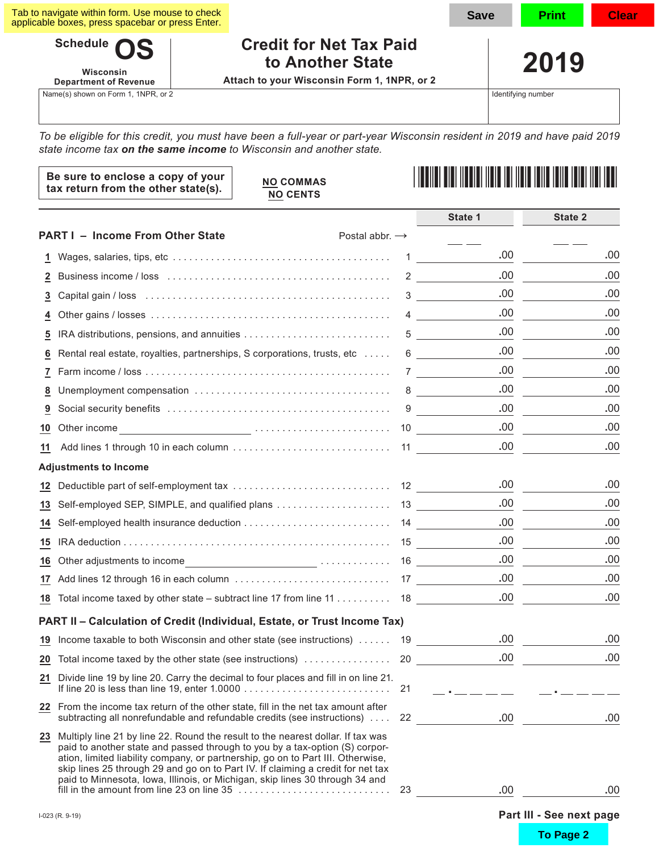| Tab to navigate within form. Use mouse to check  |  |
|--------------------------------------------------|--|
| applicable boxes, press spacebar or press Enter. |  |

**Schedule Wisconsin Department of Revenue**

Name(s) shown on Form 1, 1NPR, or 2

# **Credit for Net Tax Paid to Another State**

**Attach to your Wisconsin Form 1, 1NPR, or 2**

Identifying number

**2019**

Save | Print | Clear

*To be eligible for this credit, you must have been a full-year or part-year Wisconsin resident in 2019 and have paid 2019 state income tax on the same income to Wisconsin and another state.*

| Be sure to enclose a copy of your<br>tax return from the other state(s). | <b>NO COMMAS</b><br><b>NO CENTS</b> | <u>   ITALIAN DIAN ITALIAN ITALIA ITALIA ITALIA ITALIA ITALIA ITALI</u> |
|--------------------------------------------------------------------------|-------------------------------------|-------------------------------------------------------------------------|
|                                                                          |                                     |                                                                         |

|                 |                                                                                                                                                                                                                                                                                                                                                                                                                                                                       |    | State 1                                      | State 2                  |
|-----------------|-----------------------------------------------------------------------------------------------------------------------------------------------------------------------------------------------------------------------------------------------------------------------------------------------------------------------------------------------------------------------------------------------------------------------------------------------------------------------|----|----------------------------------------------|--------------------------|
|                 | <b>PART I - Income From Other State</b><br>Postal abbr. $\rightarrow$                                                                                                                                                                                                                                                                                                                                                                                                 |    |                                              |                          |
| 1               |                                                                                                                                                                                                                                                                                                                                                                                                                                                                       | 1  | .00                                          | .00                      |
| $\mathbf{z}$    |                                                                                                                                                                                                                                                                                                                                                                                                                                                                       |    | .00<br>$2 \left( \frac{1}{2} \right)$        | .00                      |
| 3               |                                                                                                                                                                                                                                                                                                                                                                                                                                                                       |    | .00.<br>$3 \sim 3$                           | .00                      |
| 4               |                                                                                                                                                                                                                                                                                                                                                                                                                                                                       |    | .00<br>$\overline{4}$                        | .00                      |
| 5               |                                                                                                                                                                                                                                                                                                                                                                                                                                                                       | 5  | .00                                          | .00                      |
| 6               | Rental real estate, royalties, partnerships, S corporations, trusts, etc                                                                                                                                                                                                                                                                                                                                                                                              | 6  | .00<br><u> 1999 - Jan Barnett, politik e</u> | .00                      |
| 7               |                                                                                                                                                                                                                                                                                                                                                                                                                                                                       |    | .00.<br>7                                    | .00                      |
| 8               |                                                                                                                                                                                                                                                                                                                                                                                                                                                                       |    | .00.                                         | .00                      |
| 9               |                                                                                                                                                                                                                                                                                                                                                                                                                                                                       | 9  | .00                                          | .00                      |
| 10              | Other income                                                                                                                                                                                                                                                                                                                                                                                                                                                          |    | .00<br>10                                    | .00                      |
| 11              |                                                                                                                                                                                                                                                                                                                                                                                                                                                                       |    | .00                                          | .00                      |
|                 | <b>Adjustments to Income</b>                                                                                                                                                                                                                                                                                                                                                                                                                                          |    |                                              |                          |
| 12              |                                                                                                                                                                                                                                                                                                                                                                                                                                                                       |    | .00                                          | .00                      |
| 13              |                                                                                                                                                                                                                                                                                                                                                                                                                                                                       |    | .00                                          | .00                      |
| 14              |                                                                                                                                                                                                                                                                                                                                                                                                                                                                       |    | .00                                          | .00                      |
| 15              |                                                                                                                                                                                                                                                                                                                                                                                                                                                                       |    | .00                                          | .00                      |
| 16              |                                                                                                                                                                                                                                                                                                                                                                                                                                                                       |    | .00.                                         | .00                      |
|                 |                                                                                                                                                                                                                                                                                                                                                                                                                                                                       |    | .00.                                         | .00                      |
| 18              |                                                                                                                                                                                                                                                                                                                                                                                                                                                                       |    | .00                                          | .00                      |
|                 | PART II - Calculation of Credit (Individual, Estate, or Trust Income Tax)                                                                                                                                                                                                                                                                                                                                                                                             |    |                                              |                          |
| 19              | Income taxable to both Wisconsin and other state (see instructions)  19                                                                                                                                                                                                                                                                                                                                                                                               |    | .00.                                         | .00                      |
| $\overline{20}$ |                                                                                                                                                                                                                                                                                                                                                                                                                                                                       |    | .00                                          | .00                      |
| <u>21</u>       | Divide line 19 by line 20. Carry the decimal to four places and fill in on line 21.<br>If line 20 is less than line 19, enter 1.0000 $\ldots \ldots \ldots \ldots \ldots \ldots \ldots \ldots \ldots \ldots$                                                                                                                                                                                                                                                          | 21 |                                              |                          |
|                 | 22 From the income tax return of the other state, fill in the net tax amount after<br>subtracting all nonrefundable and refundable credits (see instructions)                                                                                                                                                                                                                                                                                                         |    | .00<br>22                                    | .00                      |
|                 | 23 Multiply line 21 by line 22. Round the result to the nearest dollar. If tax was<br>paid to another state and passed through to you by a tax-option (S) corpor-<br>ation, limited liability company, or partnership, go on to Part III. Otherwise,<br>skip lines 25 through 29 and go on to Part IV. If claiming a credit for net tax<br>paid to Minnesota, Iowa, Illinois, or Michigan, skip lines 30 through 34 and<br>fill in the amount from line 23 on line 35 | 23 | .00                                          | .00                      |
|                 | I-023 (R. 9-19)                                                                                                                                                                                                                                                                                                                                                                                                                                                       |    |                                              | Part III - See next page |
|                 |                                                                                                                                                                                                                                                                                                                                                                                                                                                                       |    |                                              | To Page 2                |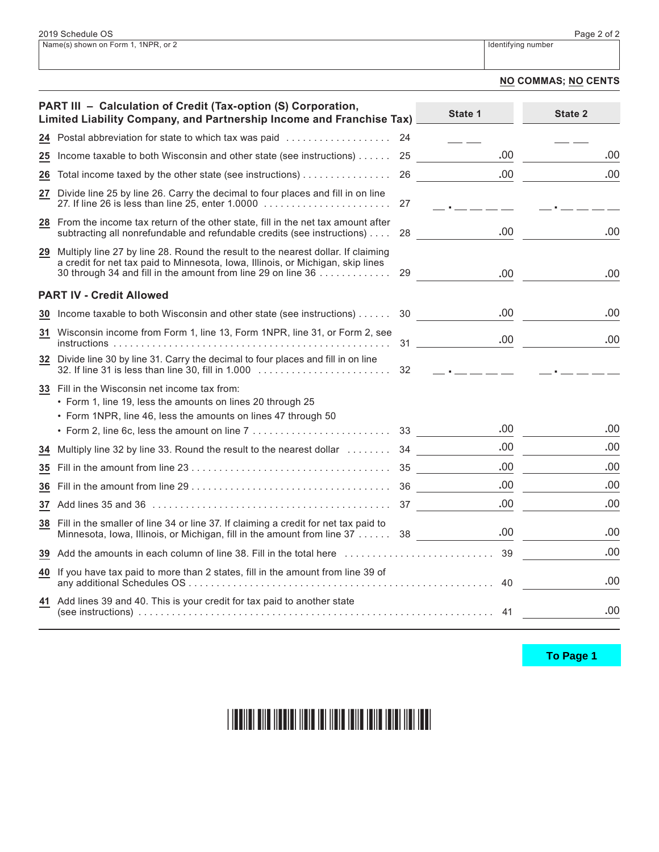#### **NO COMMAS; NO CENTS**

|    | PART III - Calculation of Credit (Tax-option (S) Corporation,<br>Limited Liability Company, and Partnership Income and Franchise Tax)                                                                                               |    | State 1                                                       | State 2 |
|----|-------------------------------------------------------------------------------------------------------------------------------------------------------------------------------------------------------------------------------------|----|---------------------------------------------------------------|---------|
|    | 24 Postal abbreviation for state to which tax was paid                                                                                                                                                                              | 24 |                                                               |         |
| 25 | Income taxable to both Wisconsin and other state (see instructions)  25                                                                                                                                                             |    | .00                                                           | .00     |
| 26 | Total income taxed by the other state (see instructions)                                                                                                                                                                            | 26 | .00                                                           | .00     |
| 27 | Divide line 25 by line 26. Carry the decimal to four places and fill in on line                                                                                                                                                     | 27 | سندس سندرون                                                   |         |
|    | 28 From the income tax return of the other state, fill in the net tax amount after<br>subtracting all nonrefundable and refundable credits (see instructions)                                                                       | 28 | .00.                                                          | .00     |
| 29 | Multiply line 27 by line 28. Round the result to the nearest dollar. If claiming<br>a credit for net tax paid to Minnesota, Iowa, Illinois, or Michigan, skip lines<br>30 through 34 and fill in the amount from line 29 on line 36 | 29 | .00                                                           | .00     |
|    | <b>PART IV - Credit Allowed</b>                                                                                                                                                                                                     |    |                                                               |         |
|    | 30 Income taxable to both Wisconsin and other state (see instructions) 30                                                                                                                                                           |    | .00                                                           | .00     |
| 31 | Wisconsin income from Form 1, line 13, Form 1NPR, line 31, or Form 2, see                                                                                                                                                           |    | .00.<br>31                                                    | .00     |
|    | 32 Divide line 30 by line 31. Carry the decimal to four places and fill in on line<br>32. If line 31 is less than line 30, fill in 1.000                                                                                            | 32 | $\mathbb{L}$ , $\mathbb{L}$ and $\mathbb{L}$ and $\mathbb{L}$ |         |
|    | 33 Fill in the Wisconsin net income tax from:<br>• Form 1, line 19, less the amounts on lines 20 through 25                                                                                                                         |    |                                                               |         |
|    | • Form 1NPR, line 46, less the amounts on lines 47 through 50                                                                                                                                                                       |    | .00                                                           |         |
|    |                                                                                                                                                                                                                                     |    |                                                               | .00     |
| 34 | Multiply line 32 by line 33. Round the result to the nearest dollar  34                                                                                                                                                             |    | .00                                                           | .00     |
| 35 |                                                                                                                                                                                                                                     |    | .00                                                           | .00     |
| 36 |                                                                                                                                                                                                                                     |    | .00                                                           | .00     |
|    |                                                                                                                                                                                                                                     |    | .00.                                                          | .00     |
|    | 38 Fill in the smaller of line 34 or line 37. If claiming a credit for net tax paid to<br>Minnesota, Iowa, Illinois, or Michigan, fill in the amount from line 37 38                                                                |    | .00                                                           | .00     |
|    | 39 Add the amounts in each column of line 38. Fill in the total here                                                                                                                                                                |    | 39                                                            | .00     |
| 40 | If you have tax paid to more than 2 states, fill in the amount from line 39 of                                                                                                                                                      |    | 40                                                            | .00     |
|    | 41 Add lines 39 and 40. This is your credit for tax paid to another state                                                                                                                                                           |    | 41                                                            | .00     |

To Page 1

#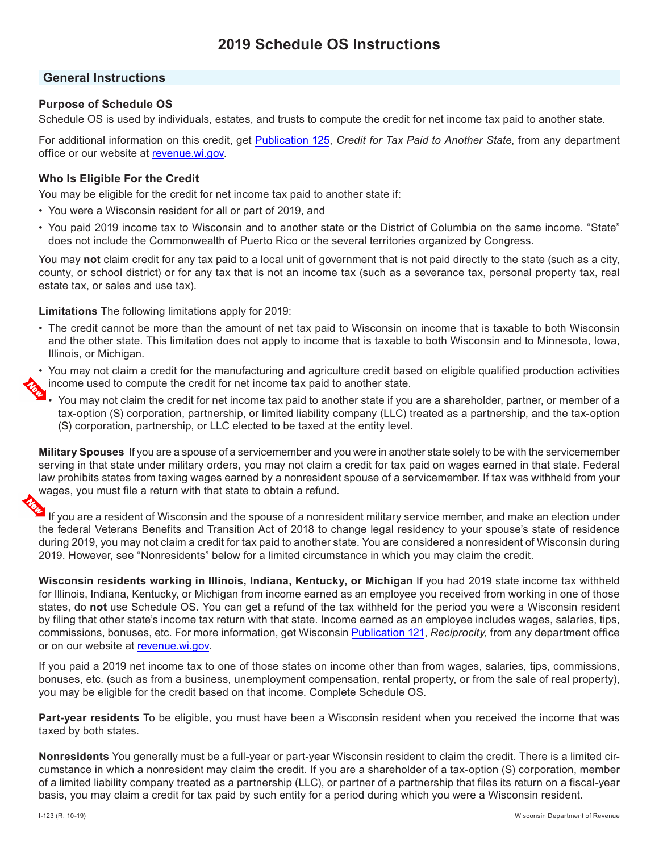# **General Instructions**

# **Purpose of Schedule OS**

Schedule OS is used by individuals, estates, and trusts to compute the credit for net income tax paid to another state.

For additional information on this credit, get [Publication](https://www.revenue.wi.gov/DOR%20Publications/pb125.pdf) 125, *Credit for Tax Paid to Another State*, from any department office or our website at [revenue.wi.gov.](https://www.revenue.wi.gov)

## **Who Is Eligible For the Credit**

You may be eligible for the credit for net income tax paid to another state if:

- You were a Wisconsin resident for all or part of 2019, and
- You paid 2019 income tax to Wisconsin and to another state or the District of Columbia on the same income. "State" does not include the Commonwealth of Puerto Rico or the several territories organized by Congress.

You may **not** claim credit for any tax paid to a local unit of government that is not paid directly to the state (such as a city, county, or school district) or for any tax that is not an income tax (such as a severance tax, personal property tax, real estate tax, or sales and use tax).

**Limitations** The following limitations apply for 2019:

• The credit cannot be more than the amount of net tax paid to Wisconsin on income that is taxable to both Wisconsin and the other state. This limitation does not apply to income that is taxable to both Wisconsin and to Minnesota, Iowa, Illinois, or Michigan.

• You may not claim a credit for the manufacturing and agriculture credit based on eligible qualified production activities income used to compute the credit for net income tax paid to another state.

• You may not claim the credit for net income tax paid to another state if you are a shareholder, partner, or member of a tax-option (S) corporation, partnership, or limited liability company (LLC) treated as a partnership, and the tax-option (S) corporation, partnership, or LLC elected to be taxed at the entity level.

**Military Spouses** If you are a spouse of a servicemember and you were in another state solely to be with the servicemember serving in that state under military orders, you may not claim a credit for tax paid on wages earned in that state. Federal law prohibits states from taxing wages earned by a nonresident spouse of a servicemember. If tax was withheld from your wages, you must file a return with that state to obtain a refund.

If you are a resident of Wisconsin and the spouse of a nonresident military service member, and make an election under the federal Veterans Benefits and Transition Act of 2018 to change legal residency to your spouse's state of residence during 2019, you may not claim a credit for tax paid to another state. You are considered a nonresident of Wisconsin during 2019. However, see "Nonresidents" below for a limited circumstance in which you may claim the credit.

**Wisconsin residents working in Illinois, Indiana, Kentucky, or Michigan** If you had 2019 state income tax withheld for Illinois, Indiana, Kentucky, or Michigan from income earned as an employee you received from working in one of those states, do **not** use Schedule OS. You can get a refund of the tax withheld for the period you were a Wisconsin resident by filing that other state's income tax return with that state. Income earned as an employee includes wages, salaries, tips, commissions, bonuses, etc. For more information, get Wisconsin [Publication](https://www.revenue.wi.gov/DOR%20Publications/pb121.pdf) 121, *Reciprocity,* from any department office or on our website at [revenue.wi.gov](https://www.revenue.wi.gov).

If you paid a 2019 net income tax to one of those states on income other than from wages, salaries, tips, commissions, bonuses, etc. (such as from a business, unemployment compensation, rental property, or from the sale of real property), you may be eligible for the credit based on that income. Complete Schedule OS.

**Part-year residents** To be eligible, you must have been a Wisconsin resident when you received the income that was taxed by both states.

**Nonresidents** You generally must be a full-year or part-year Wisconsin resident to claim the credit. There is a limited circumstance in which a nonresident may claim the credit. If you are a shareholder of a tax-option (S) corporation, member of a limited liability company treated as a partnership (LLC), or partner of a partnership that files its return on a fiscal-year basis, you may claim a credit for tax paid by such entity for a period during which you were a Wisconsin resident.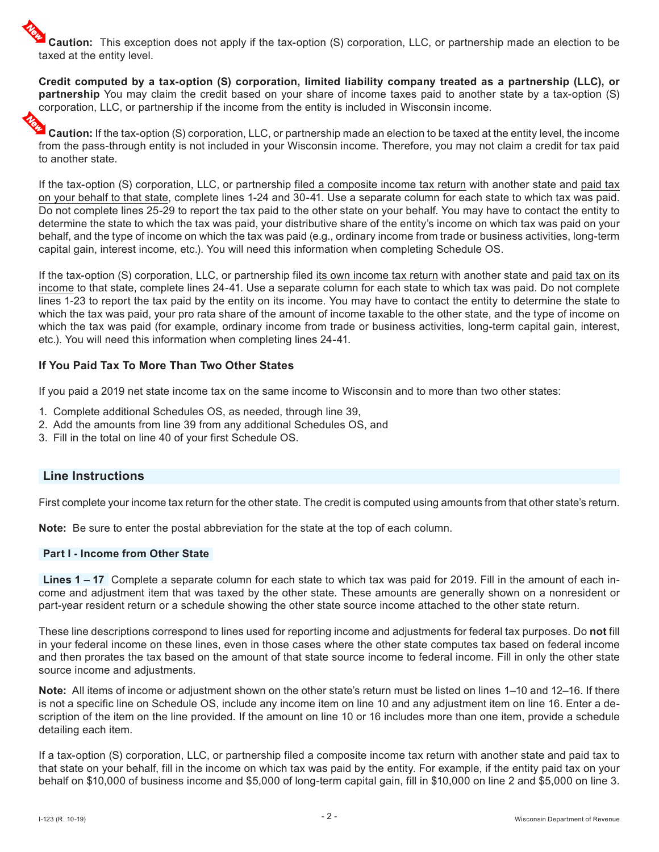**Caution:** This exception does not apply if the tax-option (S) corporation, LLC, or partnership made an election to be taxed at the entity level.

**Credit computed by a tax-option (S) corporation, limited liability company treated as a partnership (LLC), or partnership** You may claim the credit based on your share of income taxes paid to another state by a tax-option (S) corporation, LLC, or partnership if the income from the entity is included in Wisconsin income.

**Caution:** If the tax-option (S) corporation, LLC, or partnership made an election to be taxed at the entity level, the income from the pass-through entity is not included in your Wisconsin income. Therefore, you may not claim a credit for tax paid to another state.

If the tax-option (S) corporation, LLC, or partnership filed a composite income tax return with another state and paid tax on your behalf to that state, complete lines 1-24 and 30-41. Use a separate column for each state to which tax was paid. Do not complete lines 25-29 to report the tax paid to the other state on your behalf. You may have to contact the entity to determine the state to which the tax was paid, your distributive share of the entity's income on which tax was paid on your behalf, and the type of income on which the tax was paid (e.g., ordinary income from trade or business activities, long-term capital gain, interest income, etc.). You will need this information when completing Schedule OS.

If the tax-option (S) corporation, LLC, or partnership filed its own income tax return with another state and paid tax on its income to that state, complete lines 24-41. Use a separate column for each state to which tax was paid. Do not complete lines 1-23 to report the tax paid by the entity on its income. You may have to contact the entity to determine the state to which the tax was paid, your pro rata share of the amount of income taxable to the other state, and the type of income on which the tax was paid (for example, ordinary income from trade or business activities, long-term capital gain, interest, etc.). You will need this information when completing lines 24-41.

# **If You Paid Tax To More Than Two Other States**

If you paid a 2019 net state income tax on the same income to Wisconsin and to more than two other states:

- 1. Complete additional Schedules OS, as needed, through line 39,
- 2. Add the amounts from line 39 from any additional Schedules OS, and
- 3. Fill in the total on line 40 of your first Schedule OS.

# **Line Instructions**

First complete your income tax return for the other state. The credit is computed using amounts from that other state's return.

**Note:** Be sure to enter the postal abbreviation for the state at the top of each column.

#### **Part I - Income from Other State**

**Lines 1 – 17** Complete a separate column for each state to which tax was paid for 2019. Fill in the amount of each income and adjustment item that was taxed by the other state. These amounts are generally shown on a nonresident or part-year resident return or a schedule showing the other state source income attached to the other state return.

These line descriptions correspond to lines used for reporting income and adjustments for federal tax purposes. Do **not** fill in your federal income on these lines, even in those cases where the other state computes tax based on federal income and then prorates the tax based on the amount of that state source income to federal income. Fill in only the other state source income and adjustments.

**Note:** All items of income or adjustment shown on the other state's return must be listed on lines 1–10 and 12–16. If there is not a specific line on Schedule OS, include any income item on line 10 and any adjustment item on line 16. Enter a description of the item on the line provided. If the amount on line 10 or 16 includes more than one item, provide a schedule detailing each item.

If a tax-option (S) corporation, LLC, or partnership filed a composite income tax return with another state and paid tax to that state on your behalf, fill in the income on which tax was paid by the entity. For example, if the entity paid tax on your behalf on \$10,000 of business income and \$5,000 of long-term capital gain, fill in \$10,000 on line 2 and \$5,000 on line 3.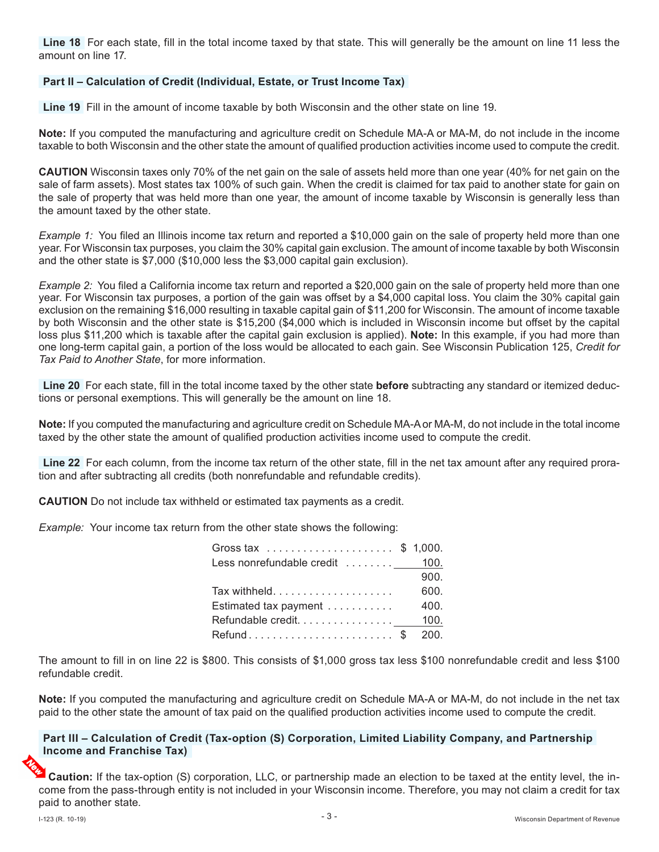**Line 18** For each state, fill in the total income taxed by that state. This will generally be the amount on line 11 less the amount on line 17.

#### **Part II – Calculation of Credit (Individual, Estate, or Trust Income Tax)**

**Line 19** Fill in the amount of income taxable by both Wisconsin and the other state on line 19.

**Note:** If you computed the manufacturing and agriculture credit on Schedule MA-A or MA-M, do not include in the income taxable to both Wisconsin and the other state the amount of qualifed production activities income used to compute the credit.

**CAUTION** Wisconsin taxes only 70% of the net gain on the sale of assets held more than one year (40% for net gain on the sale of farm assets). Most states tax 100% of such gain. When the credit is claimed for tax paid to another state for gain on the sale of property that was held more than one year, the amount of income taxable by Wisconsin is generally less than the amount taxed by the other state.

*Example 1:* You fled an Illinois income tax return and reported a \$10,000 gain on the sale of property held more than one year. For Wisconsin tax purposes, you claim the 30% capital gain exclusion. The amount of income taxable by both Wisconsin and the other state is \$7,000 (\$10,000 less the \$3,000 capital gain exclusion).

*Example 2:* You fled a California income tax return and reported a \$20,000 gain on the sale of property held more than one year. For Wisconsin tax purposes, a portion of the gain was offset by a \$4,000 capital loss. You claim the 30% capital gain exclusion on the remaining \$16,000 resulting in taxable capital gain of \$11,200 for Wisconsin. The amount of income taxable by both Wisconsin and the other state is \$15,200 (\$4,000 which is included in Wisconsin income but ofset by the capital loss plus \$11,200 which is taxable after the capital gain exclusion is applied). **Note:** In this example, if you had more than one long-term capital gain, a portion of the loss would be allocated to each gain. See Wisconsin Publication 125, *Credit for Tax Paid to Another State*, for more information.

**Line 20** For each state, fll in the total income taxed by the other state **before** subtracting any standard or itemized deductions or personal exemptions. This will generally be the amount on line 18.

**Note:** If you computed the manufacturing and agriculture credit on Schedule MA-A or MA-M, do not include in the total income taxed by the other state the amount of qualifed production activities income used to compute the credit.

**Line 22** For each column, from the income tax return of the other state, fll in the net tax amount after any required proration and after subtracting all credits (both nonrefundable and refundable credits).

**CAUTION** Do not include tax withheld or estimated tax payments as a credit.

*Example:* Your income tax return from the other state shows the following:

| Gross tax \$ 1,000.             |      |
|---------------------------------|------|
| Less nonrefundable credit  100. |      |
|                                 | 900. |
|                                 | 600. |
| Estimated tax payment           | 400. |
| Refundable credit 100.          |      |
| Refund\$ 200.                   |      |

The amount to fill in on line 22 is \$800. This consists of \$1,000 gross tax less \$100 nonrefundable credit and less \$100 refundable credit.

**Note:** If you computed the manufacturing and agriculture credit on Schedule MA-A or MA-M, do not include in the net tax paid to the other state the amount of tax paid on the qualifed production activities income used to compute the credit.

#### **Part III – Calculation of Credit (Tax-option (S) Corporation, Limited Liability Company, and Partnership Income and Franchise Tax)**

**Caution:** If the tax-option (S) corporation, LLC, or partnership made an election to be taxed at the entity level, the income from the pass-through entity is not included in your Wisconsin income. Therefore, you may not claim a credit for tax paid to another state.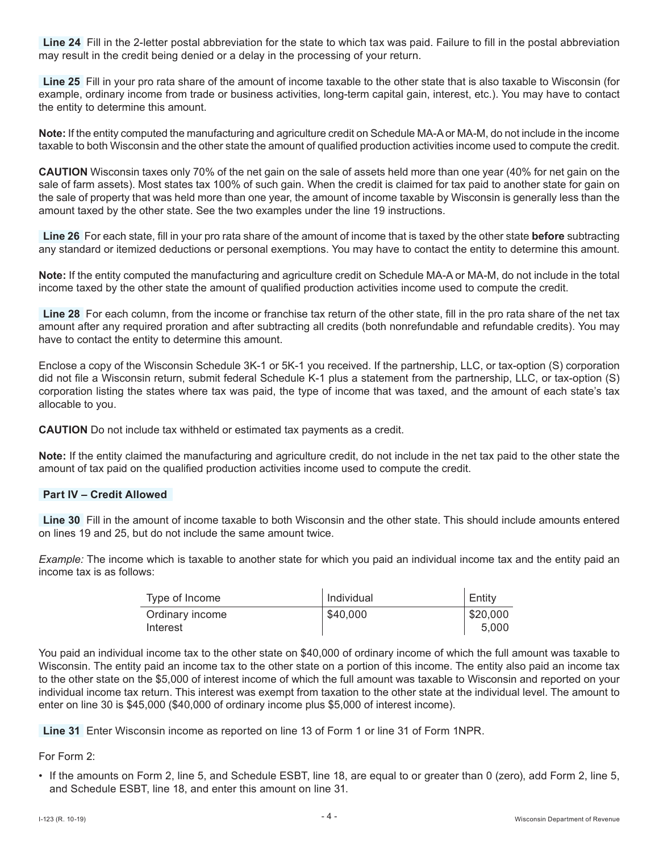**Line 24** Fill in the 2-letter postal abbreviation for the state to which tax was paid. Failure to fill in the postal abbreviation may result in the credit being denied or a delay in the processing of your return.

**Line 25** Fill in your pro rata share of the amount of income taxable to the other state that is also taxable to Wisconsin (for example, ordinary income from trade or business activities, long-term capital gain, interest, etc.). You may have to contact the entity to determine this amount.

**Note:** If the entity computed the manufacturing and agriculture credit on Schedule MA-A or MA-M, do not include in the income taxable to both Wisconsin and the other state the amount of qualifed production activities income used to compute the credit.

**CAUTION** Wisconsin taxes only 70% of the net gain on the sale of assets held more than one year (40% for net gain on the sale of farm assets). Most states tax 100% of such gain. When the credit is claimed for tax paid to another state for gain on the sale of property that was held more than one year, the amount of income taxable by Wisconsin is generally less than the amount taxed by the other state. See the two examples under the line 19 instructions.

**Line 26** For each state, fll in your pro rata share of the amount of income that is taxed by the other state **before** subtracting any standard or itemized deductions or personal exemptions. You may have to contact the entity to determine this amount.

**Note:** If the entity computed the manufacturing and agriculture credit on Schedule MA-A or MA-M, do not include in the total income taxed by the other state the amount of qualifed production activities income used to compute the credit.

**Line 28** For each column, from the income or franchise tax return of the other state, fll in the pro rata share of the net tax amount after any required proration and after subtracting all credits (both nonrefundable and refundable credits). You may have to contact the entity to determine this amount.

Enclose a copy of the Wisconsin Schedule 3K-1 or 5K-1 you received. If the partnership, LLC, or tax-option (S) corporation did not fle a Wisconsin return, submit federal Schedule K-1 plus a statement from the partnership, LLC, or tax-option (S) corporation listing the states where tax was paid, the type of income that was taxed, and the amount of each state's tax allocable to you.

**CAUTION** Do not include tax withheld or estimated tax payments as a credit.

**Note:** If the entity claimed the manufacturing and agriculture credit, do not include in the net tax paid to the other state the amount of tax paid on the qualifed production activities income used to compute the credit.

#### **Part IV – Credit Allowed**

**Line 30** Fill in the amount of income taxable to both Wisconsin and the other state. This should include amounts entered on lines 19 and 25, but do not include the same amount twice.

*Example:* The income which is taxable to another state for which you paid an individual income tax and the entity paid an income tax is as follows:

| Type of Income              | l Individual | Entity            |
|-----------------------------|--------------|-------------------|
| Ordinary income<br>Interest | \$40,000     | \$20,000<br>5.000 |

You paid an individual income tax to the other state on \$40,000 of ordinary income of which the full amount was taxable to Wisconsin. The entity paid an income tax to the other state on a portion of this income. The entity also paid an income tax to the other state on the \$5,000 of interest income of which the full amount was taxable to Wisconsin and reported on your individual income tax return. This interest was exempt from taxation to the other state at the individual level. The amount to enter on line 30 is \$45,000 (\$40,000 of ordinary income plus \$5,000 of interest income).

**Line 31** Enter Wisconsin income as reported on line 13 of Form 1 or line 31 of Form 1NPR.

## For Form 2:

• If the amounts on Form 2, line 5, and Schedule ESBT, line 18, are equal to or greater than 0 (zero), add Form 2, line 5, and Schedule ESBT, line 18, and enter this amount on line 31.